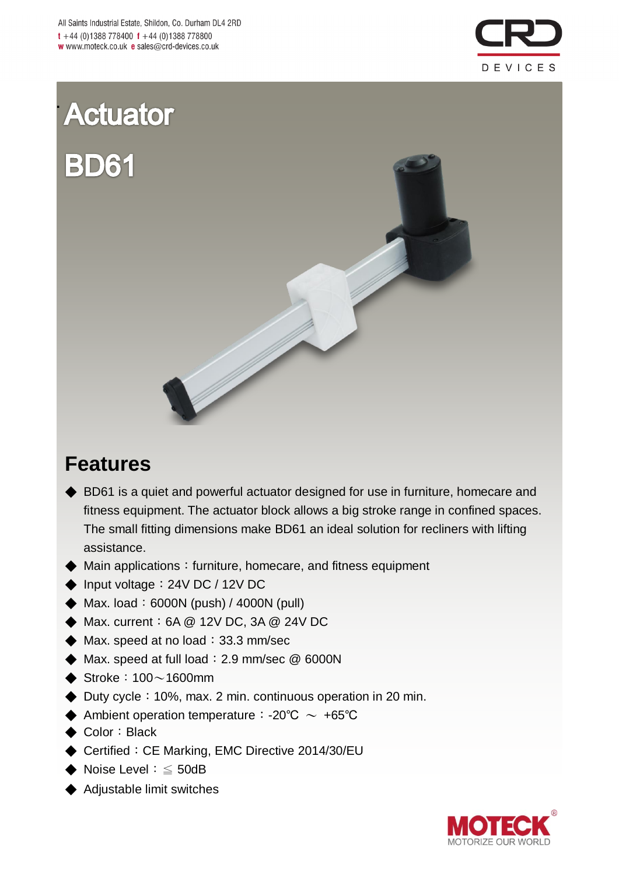

# **Actuator BD61**

**.**



# **Features**

- ◆ BD61 is a quiet and powerful actuator designed for use in furniture, homecare and fitness equipment. The actuator block allows a big stroke range in confined spaces. The small fitting dimensions make BD61 an ideal solution for recliners with lifting assistance.
- ◆ Main applications: furniture, homecare, and fitness equipment
- ◆ Input voltage: 24V DC / 12V DC
- $\blacklozenge$  Max. load: 6000N (push) / 4000N (pull)
- ◆ Max. current:6A @ 12V DC, 3A @ 24V DC
- $\blacklozenge$  Max. speed at no load: 33.3 mm/sec
- $\blacklozenge$  Max. speed at full load: 2.9 mm/sec  $@$  6000N
- $\blacklozenge$  Stroke: 100 $\sim$ 1600mm
- ◆ Duty cycle: 10%, max. 2 min. continuous operation in 20 min.
- $\blacklozenge$  Ambient operation temperature: -20℃ ~ +65℃
- ◆ Color: Black
- ◆ Certified: CE Marking, EMC Directive 2014/30/EU
- ◆ Noise Level:  $\leq$  50dB
- ◆ Adjustable limit switches

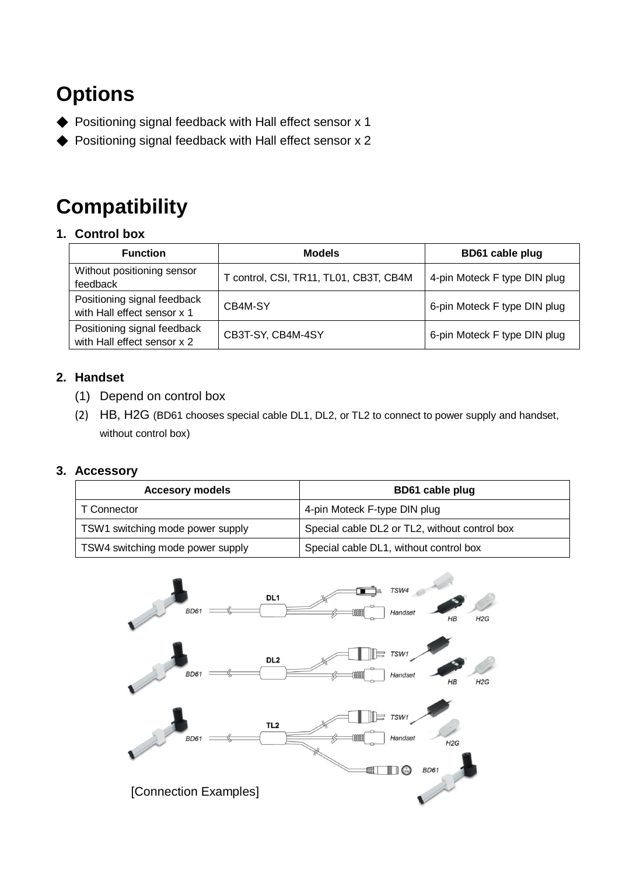# **Options**

- ◆ Positioning signal feedback with Hall effect sensor x 1
- ◆ Positioning signal feedback with Hall effect sensor x 2

# **Compatibility**

#### **1. Control box**

| <b>Function</b>                                            | <b>Models</b>                          | BD61 cable plug              |  |  |  |
|------------------------------------------------------------|----------------------------------------|------------------------------|--|--|--|
| Without positioning sensor<br>feedback                     | T control, CSI, TR11, TL01, CB3T, CB4M | 4-pin Moteck F type DIN plug |  |  |  |
| Positioning signal feedback<br>with Hall effect sensor x 1 | CB4M-SY                                | 6-pin Moteck F type DIN plug |  |  |  |
| Positioning signal feedback<br>with Hall effect sensor x 2 | CB3T-SY, CB4M-4SY                      | 6-pin Moteck F type DIN plug |  |  |  |

#### **2. Handset**

- (1) Depend on control box
- (2) HB, H2G (BD61 chooses special cable DL1, DL2, or TL2 to connect to power supply and handset, without control box)

#### **3. Accessory**

| <b>Accesory models</b>           | BD61 cable plug                               |  |  |  |  |
|----------------------------------|-----------------------------------------------|--|--|--|--|
| T Connector                      | 4-pin Moteck F-type DIN plug                  |  |  |  |  |
| TSW1 switching mode power supply | Special cable DL2 or TL2, without control box |  |  |  |  |
| TSW4 switching mode power supply | Special cable DL1, without control box        |  |  |  |  |

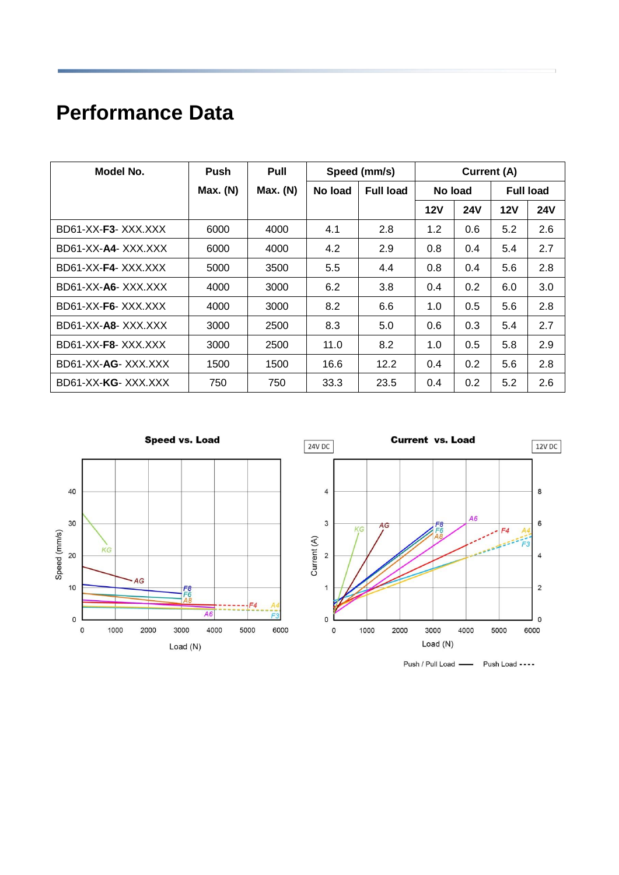# **Performance Data**

| Model No.          | <b>Push</b> | Pull     |         | Speed (mm/s)     | Current (A) |            |                  |            |
|--------------------|-------------|----------|---------|------------------|-------------|------------|------------------|------------|
|                    | Max. (N)    | Max. (N) | No load | <b>Full load</b> | No load     |            | <b>Full load</b> |            |
|                    |             |          |         |                  | 12V         | <b>24V</b> | <b>12V</b>       | <b>24V</b> |
| BD61-XX-F3-XXX.XXX | 6000        | 4000     | 4.1     | 2.8              | 1.2         | 0.6        | 5.2              | 2.6        |
| BD61-XX-A4-XXX.XXX | 6000        | 4000     | 4.2     | 2.9              | 0.8         | 0.4        | 5.4              | 2.7        |
| BD61-XX-F4-XXX.XXX | 5000        | 3500     | 5.5     | 4.4              | 0.8         | 0.4        | 5.6              | 2.8        |
| BD61-XX-A6-XXX.XXX | 4000        | 3000     | 6.2     | 3.8              | 0.4         | 0.2        | 6.0              | 3.0        |
| BD61-XX-F6-XXX.XXX | 4000        | 3000     | 8.2     | 6.6              | 1.0         | 0.5        | 5.6              | 2.8        |
| BD61-XX-A8-XXX.XXX | 3000        | 2500     | 8.3     | 5.0              | 0.6         | 0.3        | 5.4              | 2.7        |
| BD61-XX-F8-XXX.XXX | 3000        | 2500     | 11.0    | 8.2              | 1.0         | 0.5        | 5.8              | 2.9        |
| BD61-XX-AG-XXX.XXX | 1500        | 1500     | 16.6    | 12.2             | 0.4         | 0.2        | 5.6              | 2.8        |
| BD61-XX-KG-XXX.XXX | 750         | 750      | 33.3    | 23.5             | 0.4         | 0.2        | 5.2              | 2.6        |



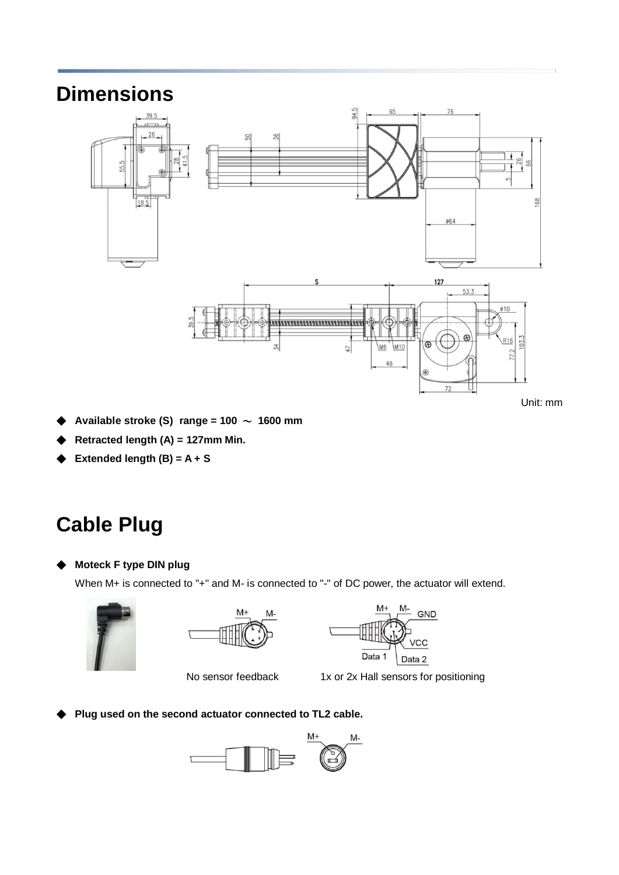### **Dimensions**



Unit: mm

- Available stroke (S)  $range = 100 \sim 1600$  mm
- ◆ **Retracted length (A) = 127mm Min.**
- **Extended length**  $(B) = A + S$

# **Cable Plug**

◆ **Moteck F type DIN plug** 

When M+ is connected to "+" and M- is connected to "-" of DC power, the actuator will extend.







No sensor feedback 1x or 2x Hall sensors for positioning

◆ **Plug used on the second actuator connected to TL2 cable.**